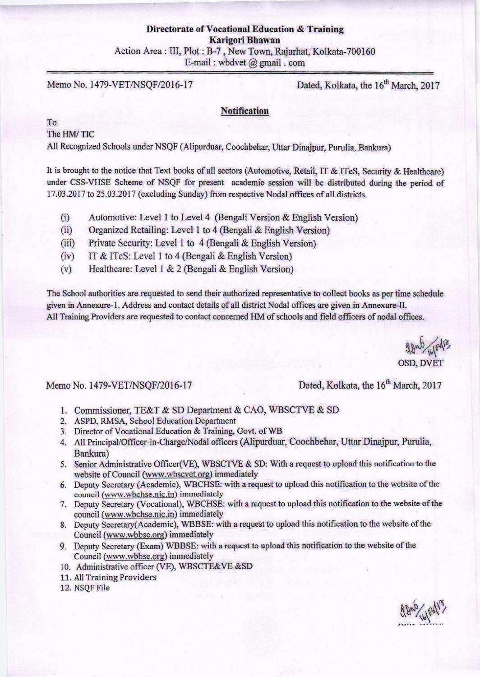## Directorate of Vocational Education & Training Karigori Bhawan Action Area: III, Plot : B-7 , New Town, Rajarhat, Kolkata-700150 E-mail : wbdvet  $@$  gmail . com

Memo No. 1479-VET/NSQF/2016-17

Dated, Kolkata, the 16<sup>th</sup> March, 2017

## **Notification**

To

The HM/TIC

All Recognized Schools under NSQF (Alipurduar, Coochbehar, Uttar Dinajpur, Purulia, Bankura)

It is brought to the notice that Text books of all sectors (Automotive, Retail, IT & ITeS, Security & Healthcare) under CSS-VHSE Scheme of NSQF for present academic session will be distributed during the period of 17.03.2017 to 25.03.2017 (excluding Sunday) from respective Nodal offices of all districts.

- (t) Automotive: Level 1 to Level 4 (Bengali Version & English Version)
- (ii) Organized Retailing: Level I to 4 (Bengali & English Version)
- $(iii)$ Private Security: Level 1 to 4 (Bengali & English Version)
- (iv) IT & ITeS: Level 1 to 4 (Bengali & English Version)
- (v) Healthcare: Level 1 & 2 (Bengali & English Version)

The Sohool authorities are requested to send their authorized representative to collect book as por time schedule given in Annexure-1. Address and contact details of all district Nodal offices are given in Annexure-II. All Training Providers are requested to contact concerned HM of schools and field officers of nodal offices.

9 Ano 14 orlies OSD, DVET

## Memo No. 1479-VET/NSOF/2016-17

Dated, Kolkata, the 16<sup>th</sup> March, 2017

- 1. Commissioner, TE&T & SD Department & CAO, WBSCTVE & SD
- 2. ASPD, RMSA, School Education Department
- 3. Director of Vocational Education & Training, Govt. of WB
- 4. All Principal/Officer-in-Charge/Nodal officers (Alipurduar, Coochbehar, Uttar Dinajpur, Purulia, Bankura)
- 5. Senior Administrative Officer(VE), WBSCTVE & SD: With a request to upload this notification to the website of Council (www.wbseyet.org) immediately
- 6. Deputy Secretary (Academic), WBCHSE: with a request to upload this notifioation to the website of the council (www.wbchse.nic.in) immediately
- 7. Deputy Secretary (Vocational), WBCHSE: with a request to upload this notification to the website of the council (www.wbchse.nic.in) immediately
- 8. Deputy Secretary(Academic), WBBSE: with a request to upload this notification to the website of the Council (www.wbbse.org) immediately
- 9. Deputy Secretary (Exam) WBBSE: with a request to upload this notification to the website of the Council (www.wbbse.org) immediately
- 10. Administrative officer (VE), WBSCTE&VE &SD
- 11. All Training Providers
- 12. NSQF File

9 Brs 16/05/1